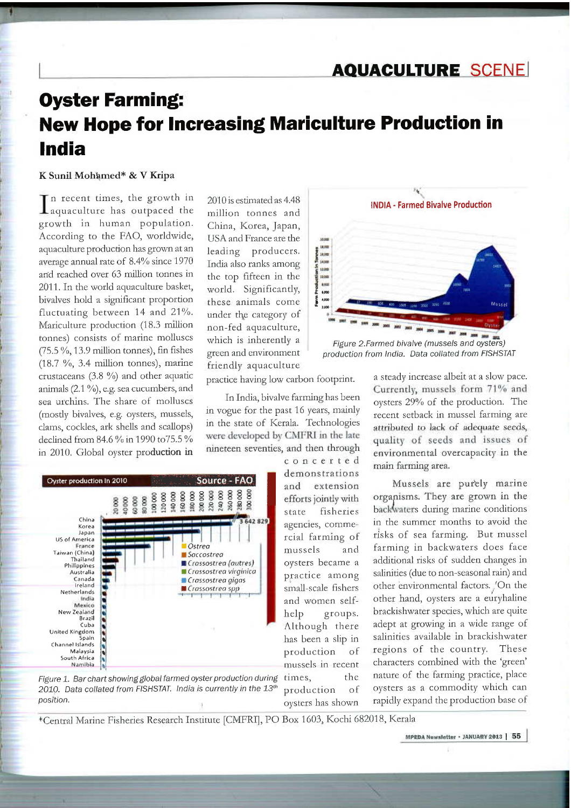## **AQUACULTURE SCENE**

# **Oyster Farming: New Hope for Increasing Mariculture Production in India**

#### K Sunil Mohamed\* & V Kripa

n recent times, the growth in  $\mathbf 1$  aquaculture has outpaced the growth in human population. According to the FAO, worldwide, aquaculture production has grown at an average annual rate of 8.4% since 1970 and reached over 63 million tonnes in 2011. In the world aquaculture basket, bivalves hold a significant proportion fluctuating between 14 and 21%. Mariculture production (18.3 million tonnes) consists of marine molluscs  $(75.5\%, 13.9)$  million tonnes), fin fishes  $(18.7 \%)$ , 3.4 million tonnes), marine crustaceans (3.8 %) and other aquatic animals  $(2.1\%)$ , e.g. sea cucumbers, and sea urchins. The share of molluscs (mostly bivalves, e.g. oysters, mussels, clams, cockles, ark shells and scallops) declined from 84.6 % in 1990 to 75.5 % in 2010. Global oyster production in

2010 is estimated as 4.48 million tonnes and China, Korea, Japan, USA and France are the leading producers. India also ranks among the top fifteen in the world. Significantly, these animals come under the category of non-fed aquaculture, which is inherently a green and environment friendly aquaculture

practice having low carbon footprint.

In India, bivalve farming has been in vogue for the past 16 years, mainly in the state of Kerala. Technologies were developed by CMFRI in the late nineteen seventies, and then through



Figure 1. Bar chart showing global farmed oyster production during 2010. Data collated from FISHSTAT. India is currently in the 13th position.

concerted demonstrations and extension efforts jointly with fisheries state agencies, commercial farming of mussels and oysters became a practice among small-scale fishers and women selfgroups. help Although there has been a slip in production <sup>of</sup> mussels in recent times, the of production oysters has shown



Figure 2.Farmed bivalve (mussels and oysters) production from India. Data collated from FISHSTAT

a steady increase albeit at a slow pace. Currently, mussels form 71% and oysters 29% of the production. The recent setback in mussel farming are attributed to lack of adequate seeds, quality of seeds and issues of environmental overcapacity in the main farming area.

Mussels are purely marine organisms. They are grown in the backwaters during marine conditions in the summer months to avoid the risks of sea farming. But mussel farming in backwaters does face additional risks of sudden changes in salinities (due to non-seasonal rain) and other environmental factors. 'On the other hand, oysters are a euryhaline brackishwater species, which are quite adept at growing in a wide range of salinities available in brackishwater regions of the country. These characters combined with the 'green' nature of the farming practice, place oysters as a commodity which can rapidly expand the production base of

\*Central Marine Fisheries Research Institute [CMFRI], PO Box 1603, Kochi 682018, Kerala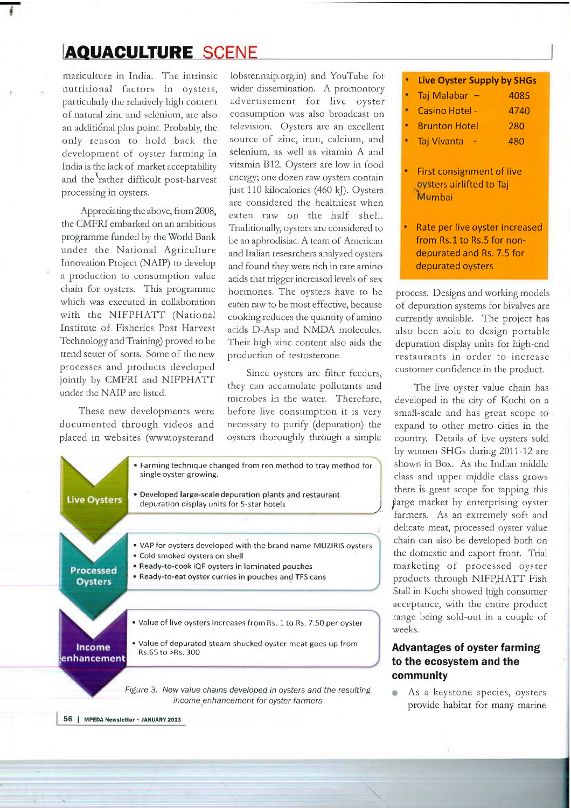## **[AQUACULTURE** SCENE

mariculture in India. The intrinsic nutritional factors in oysters, particularly the relatively high content of natural zinc and selenium, are also an additional plus point. Probably, the only reason to hold back the development of oyster farming in India is the lack of market acceptability and the rather difficult post-harvest processing in oysters.

Appreciating the above, from 2008, the CMFRI embarked on an ambitious programme funded by the World Bank under the National Agriculture Innovation Project (NAIP) to develop ' a production to consumption value chain for oysters. This programme which was executed in collaboration with the NIFPHATT (National Institute of Fisheries Post Harvest Technology and Training) proved to be trend setter of sorts. Some of the new processes and products developed<br>jointly by CMFRI and NIFPHATT

documented through videos and necessary to purify (depuration) the expand to other metro cities in the

1obster.naip.org.in) and YouTube for wider dissemination. A promontory advertisement for live oyster consumption was also broadcast on television. Oysters are an excellent source of zinc, iron, calcium, and selenium, as well as vitamin A and vitamin B12. Oysters are low in food energy; one dozen ram oysters contain just 110 kilocalories (460 kJ). Oysters are considered the healthiest when eaten raw on the half shell. Traditionally, oysters are considered to be an aphrodisiac. A team of American and Italian researchers analyzed oysters and found they were rich in rare amino acids that trigger increased levels of sex hormones. The oysters have to be eaten raw to be most effective, because cooking reduces the quantity of amino acids D-Asp and NNIDA molecules. Their high zinc content also aids the production of testosterone.

jointly by CMFRI and NIFFHATT they can accumulate pollutants and The live oyster value chain has under the NAIP are listed.

|                        | single oyster growing.                                                                                 |  |
|------------------------|--------------------------------------------------------------------------------------------------------|--|
| <b>Live Oysters</b>    | · Developed large-scale depuration plants and restaurant<br>depuration display units for 5-star hotels |  |
|                        |                                                                                                        |  |
|                        | • VAP for oysters developed with the brand name MUZIRIS oysters<br>• Cold smoked oysters on shell      |  |
| <b>Processed</b>       | · Ready-to-cook IQF oysters in laminated pouches                                                       |  |
| <b>Oysters</b>         | • Ready-to-eat oyster curries in pouches and TFS cans                                                  |  |
|                        | • Value of live oysters increases from Rs. 1 to Rs. 7.50 per oyster                                    |  |
| Income<br>lenhancement | • Value of depurated steam shucked oyster meat goes up from<br>Rs.65 to >Rs. 300                       |  |

| <b>Live Oyster Supply by SHGs</b> |      |
|-----------------------------------|------|
| Taj Malabar -                     | 4085 |
| Casino Hotel -                    | 4740 |
| <b>Brunton Hotel</b>              | 280  |
| Taj Vivanta                       | 480  |
|                                   |      |

- First consignment of live oysters airlifted to Taj Mumbai
- Rate per live oyster increased from Rs.1 to Rs.5 for nondepurated and Rs. 7.5 for depurated oysters depurated oysters

process. Designs and working models of depuration systems for bivalves are currently available. The project has also been able to design portable depuration display units for high-end restaurants in order to increase

microbes in the water. Therefore, developed in the city of Kochi on a before live consumption it is very small-scale and has great scope to These new developments were before live consumption it is very small-scale and has great scope to documented through videos and necessary to purify (depuration) the expand to other metro cities in the country. Details of live oysters sold by women SHGs during 2011-12 are shown in Box. As the Indian middle class and upper middle class grows there is great scope for tapping this farge market by enterprising oyster farmers. As an extremely soft and delicate meat, processed oyster value chain can also be developed both on the domestic and export front. Trial marketing of processed oyster products through NIFP,HATT Fish Stall in Kochi showed high consumer acceptance, with the entire product range being sold-out in a couple of weeks.

### **Advantages of oyster farming to the ecosystem and the community**

As a keystone species, oysters provide habitat for many marine